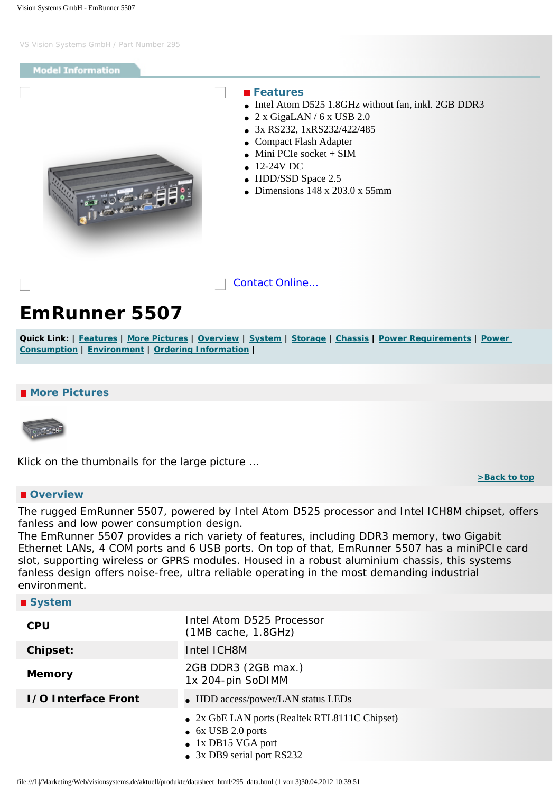## <span id="page-0-4"></span>**Model Information**

<span id="page-0-0"></span>

#### **Features**

- Intel Atom D525 1.8GHz without fan, inkl. 2GB DDR3
- $\bullet$  2 x GigaLAN / 6 x USB 2.0
- 3x RS232, 1xRS232/422/485
- Compact Flash Adapter
- $\bullet$  Mini PCIe socket + SIM
- $-12-24V$  DC
- HDD/SSD Space 2.5
- Dimensions  $148 \times 203.0 \times 55$ mm

[Contact](http://www.visionsystems.de/contactus.htm) [Online…](http://www.visionsystems.de/produkte/295.html)

# **EmRunner 5507**

**Quick Link: | [Features](#page-0-0) | [More Pictures](#page-0-1) | [Overview](#page-0-2) | [System](#page-0-3) | [Storage](#page-1-0) | [Chassis](#page-1-1) | [Power Requirements](#page-1-2) | [Power](#page-1-3)  [Consumption](#page-1-3) | [Environment](#page-1-4) | [Ordering Information](#page-1-5) |**

### <span id="page-0-1"></span> **More Pictures**



Klick on the thumbnails for the large picture …

**[>Back to top](#page-0-4)** 

### <span id="page-0-2"></span> **Overview**

The rugged EmRunner 5507, powered by Intel Atom D525 processor and Intel ICH8M chipset, offers fanless and low power consumption design.

The EmRunner 5507 provides a rich variety of features, including DDR3 memory, two Gigabit Ethernet LANs, 4 COM ports and 6 USB ports. On top of that, EmRunner 5507 has a miniPCIe card slot, supporting wireless or GPRS modules. Housed in a robust aluminium chassis, this systems fanless design offers noise-free, ultra reliable operating in the most demanding industrial environment.

<span id="page-0-3"></span>

| ■ System                   |                                                                                                                                         |
|----------------------------|-----------------------------------------------------------------------------------------------------------------------------------------|
| <b>CPU</b>                 | Intel Atom D525 Processor<br>(MB cache, 1.8GHz)                                                                                         |
| Chipset:                   | Intel ICH8M                                                                                                                             |
| <b>Memory</b>              | 2GB DDR3 (2GB max.)<br>1x 204-pin SoDIMM                                                                                                |
| <b>1/0 Interface Front</b> | • HDD access/power/LAN status LEDs                                                                                                      |
|                            | • 2x GbE LAN ports (Realtek RTL8111C Chipset)<br>$\bullet$ 6x USB 2.0 ports<br>$\bullet$ 1x DB15 VGA port<br>• 3x DB9 serial port RS232 |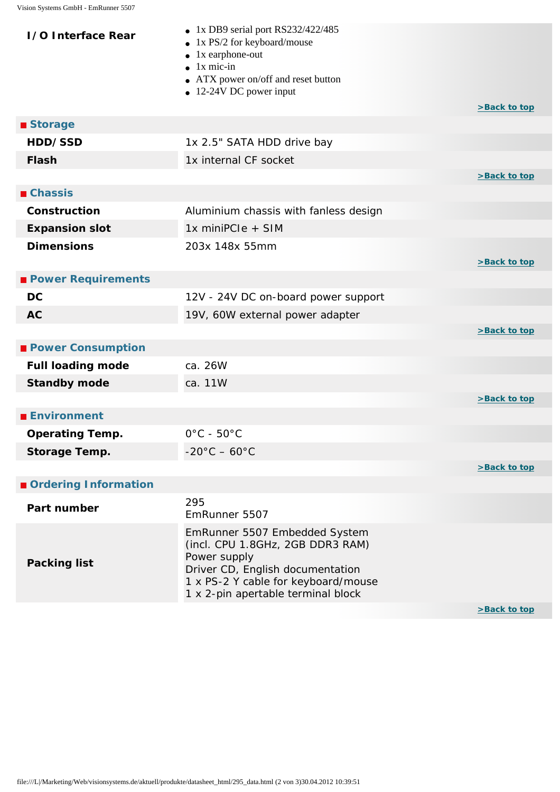<span id="page-1-5"></span><span id="page-1-4"></span><span id="page-1-3"></span><span id="page-1-2"></span><span id="page-1-1"></span><span id="page-1-0"></span>

| <b>1/0 Interface Rear</b> | • 1x DB9 serial port RS232/422/485<br>1x PS/2 for keyboard/mouse<br>$\bullet$ 1x earphone-out<br>$\bullet$ 1x mic-in<br>• ATX power on/off and reset button<br>$\bullet$ 12-24V DC power input     | >Back to top |
|---------------------------|----------------------------------------------------------------------------------------------------------------------------------------------------------------------------------------------------|--------------|
| ■ Storage                 |                                                                                                                                                                                                    |              |
| HDD/SSD                   | 1x 2.5" SATA HDD drive bay                                                                                                                                                                         |              |
| <b>Flash</b>              | 1x internal CF socket                                                                                                                                                                              |              |
|                           |                                                                                                                                                                                                    | >Back to top |
| <b>■ Chassis</b>          |                                                                                                                                                                                                    |              |
| Construction              | Aluminium chassis with fanless design                                                                                                                                                              |              |
| <b>Expansion slot</b>     | 1x miniPCIe + SIM                                                                                                                                                                                  |              |
| <b>Dimensions</b>         | 203x 148x 55mm                                                                                                                                                                                     |              |
|                           |                                                                                                                                                                                                    | >Back to top |
| <b>Power Requirements</b> |                                                                                                                                                                                                    |              |
| <b>DC</b>                 | 12V - 24V DC on-board power support                                                                                                                                                                |              |
| <b>AC</b>                 | 19V, 60W external power adapter                                                                                                                                                                    |              |
|                           |                                                                                                                                                                                                    | >Back to top |
| <b>Power Consumption</b>  |                                                                                                                                                                                                    |              |
| <b>Full loading mode</b>  | ca. 26W                                                                                                                                                                                            |              |
| <b>Standby mode</b>       | ca. 11W                                                                                                                                                                                            |              |
|                           |                                                                                                                                                                                                    | >Back to top |
| <b>Environment</b>        |                                                                                                                                                                                                    |              |
| <b>Operating Temp.</b>    | $0^{\circ}$ C - 50 $^{\circ}$ C                                                                                                                                                                    |              |
| Storage Temp.             | $-20^{\circ}$ C $-60^{\circ}$ C                                                                                                                                                                    |              |
|                           |                                                                                                                                                                                                    | >Back to top |
| Ordering Information      |                                                                                                                                                                                                    |              |
| Part number               | 295<br>EmRunner 5507                                                                                                                                                                               |              |
| <b>Packing list</b>       | EmRunner 5507 Embedded System<br>(incl. CPU 1.8GHz, 2GB DDR3 RAM)<br>Power supply<br>Driver CD, English documentation<br>1 x PS-2 Y cable for keyboard/mouse<br>1 x 2-pin apertable terminal block |              |